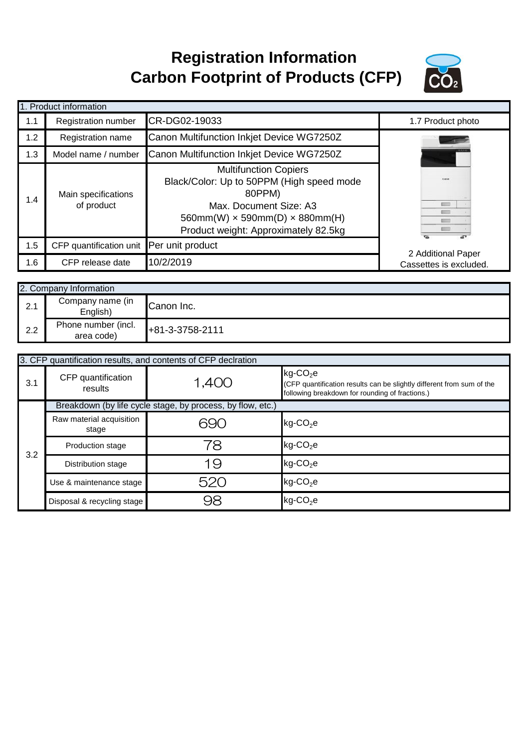## **Registration Information Carbon Footprint of Products (CFP)**



|     | 1. Product information                   |                                                                                                                                                                                                     |                        |
|-----|------------------------------------------|-----------------------------------------------------------------------------------------------------------------------------------------------------------------------------------------------------|------------------------|
| 1.1 | <b>Registration number</b>               | CR-DG02-19033                                                                                                                                                                                       | 1.7 Product photo      |
| 1.2 | Registration name                        | Canon Multifunction Inkjet Device WG7250Z                                                                                                                                                           |                        |
| 1.3 | Model name / number                      | Canon Multifunction Inkjet Device WG7250Z                                                                                                                                                           |                        |
| 1.4 | Main specifications<br>of product        | <b>Multifunction Copiers</b><br>Black/Color: Up to 50PPM (High speed mode<br>80PPM)<br>Max. Document Size: A3<br>$560mm(W) \times 590mm(D) \times 880mm(H)$<br>Product weight: Approximately 82.5kg | V.                     |
| 1.5 | CFP quantification unit Per unit product |                                                                                                                                                                                                     | 2 Additional Paper     |
| 1.6 | CFP release date                         | 10/2/2019                                                                                                                                                                                           | Cassettes is excluded. |

|     | 2. Company Information            |                    |  |
|-----|-----------------------------------|--------------------|--|
| 2.1 | Company name (in<br>English)      | <b>ICanon Inc.</b> |  |
| 2.2 | Phone number (incl.<br>area code) | $+81-3-3758-2111$  |  |

|     | 3. CFP quantification results, and contents of CFP declration |                                                            |                                                                                                                                                     |  |  |
|-----|---------------------------------------------------------------|------------------------------------------------------------|-----------------------------------------------------------------------------------------------------------------------------------------------------|--|--|
| 3.1 | CFP quantification<br>results                                 | 1,400                                                      | $kg$ -CO <sub>2</sub> e<br>(CFP quantification results can be slightly different from sum of the<br>following breakdown for rounding of fractions.) |  |  |
|     |                                                               | Breakdown (by life cycle stage, by process, by flow, etc.) |                                                                                                                                                     |  |  |
| 3.2 | Raw material acquisition<br>stage                             | 690                                                        | $kg$ -CO <sub>2</sub> e                                                                                                                             |  |  |
|     | <b>Production stage</b>                                       | 78                                                         | $kg$ -CO <sub>2</sub> e                                                                                                                             |  |  |
|     | Distribution stage                                            | 19                                                         | $kg$ -CO <sub>2</sub> e                                                                                                                             |  |  |
|     | Use & maintenance stage                                       | 520                                                        | $kg$ -CO <sub>2</sub> e                                                                                                                             |  |  |
|     | Disposal & recycling stage                                    | 98                                                         | $kg$ -CO <sub>2</sub> e                                                                                                                             |  |  |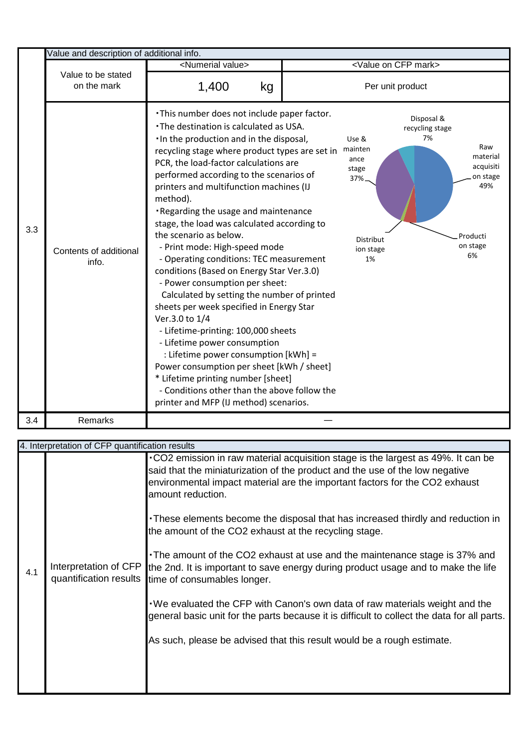|     | Value and description of additional info. |                                                                                                                                                                                                                                                                                                                                                                                                                                                                                                                                                                                                                                                                                                                                                                                                                                                                                                                                                                                                                        |                                                                           |                                                                                                                      |
|-----|-------------------------------------------|------------------------------------------------------------------------------------------------------------------------------------------------------------------------------------------------------------------------------------------------------------------------------------------------------------------------------------------------------------------------------------------------------------------------------------------------------------------------------------------------------------------------------------------------------------------------------------------------------------------------------------------------------------------------------------------------------------------------------------------------------------------------------------------------------------------------------------------------------------------------------------------------------------------------------------------------------------------------------------------------------------------------|---------------------------------------------------------------------------|----------------------------------------------------------------------------------------------------------------------|
|     |                                           | <numerial value=""></numerial>                                                                                                                                                                                                                                                                                                                                                                                                                                                                                                                                                                                                                                                                                                                                                                                                                                                                                                                                                                                         | <value cfp="" mark="" on=""></value>                                      |                                                                                                                      |
|     | Value to be stated<br>on the mark         | 1,400<br>kg                                                                                                                                                                                                                                                                                                                                                                                                                                                                                                                                                                                                                                                                                                                                                                                                                                                                                                                                                                                                            | Per unit product                                                          |                                                                                                                      |
| 3.3 | Contents of additional<br>info.           | . This number does not include paper factor.<br>. The destination is calculated as USA.<br>. In the production and in the disposal,<br>recycling stage where product types are set in<br>PCR, the load-factor calculations are<br>performed according to the scenarios of<br>printers and multifunction machines (IJ<br>method).<br>. Regarding the usage and maintenance<br>stage, the load was calculated according to<br>the scenario as below.<br>- Print mode: High-speed mode<br>- Operating conditions: TEC measurement<br>conditions (Based on Energy Star Ver.3.0)<br>- Power consumption per sheet:<br>Calculated by setting the number of printed<br>sheets per week specified in Energy Star<br>Ver.3.0 to 1/4<br>- Lifetime-printing: 100,000 sheets<br>- Lifetime power consumption<br>: Lifetime power consumption [kWh] =<br>Power consumption per sheet [kWh / sheet]<br>* Lifetime printing number [sheet]<br>- Conditions other than the above follow the<br>printer and MFP (IJ method) scenarios. | Use &<br>mainten<br>ance<br>stage<br>37%.<br>Distribut<br>ion stage<br>1% | Disposal &<br>recycling stage<br>7%<br>Raw<br>material<br>acquisiti<br>on stage<br>49%<br>Producti<br>on stage<br>6% |
| 3.4 | Remarks                                   |                                                                                                                                                                                                                                                                                                                                                                                                                                                                                                                                                                                                                                                                                                                                                                                                                                                                                                                                                                                                                        |                                                                           |                                                                                                                      |

|     | 4. Interpretation of CFP quantification results |                                                                                                                                                                                                                                                                      |  |  |  |
|-----|-------------------------------------------------|----------------------------------------------------------------------------------------------------------------------------------------------------------------------------------------------------------------------------------------------------------------------|--|--|--|
|     |                                                 | .CO2 emission in raw material acquisition stage is the largest as 49%. It can be<br>said that the miniaturization of the product and the use of the low negative<br>environmental impact material are the important factors for the CO2 exhaust<br>amount reduction. |  |  |  |
|     |                                                 | These elements become the disposal that has increased thirdly and reduction in<br>the amount of the CO2 exhaust at the recycling stage.                                                                                                                              |  |  |  |
| 4.1 | Interpretation of CFP                           | . The amount of the CO2 exhaust at use and the maintenance stage is 37% and<br>the 2nd. It is important to save energy during product usage and to make the life<br>quantification results time of consumables longer.                                               |  |  |  |
|     |                                                 | . We evaluated the CFP with Canon's own data of raw materials weight and the<br>general basic unit for the parts because it is difficult to collect the data for all parts.                                                                                          |  |  |  |
|     |                                                 | As such, please be advised that this result would be a rough estimate.                                                                                                                                                                                               |  |  |  |
|     |                                                 |                                                                                                                                                                                                                                                                      |  |  |  |